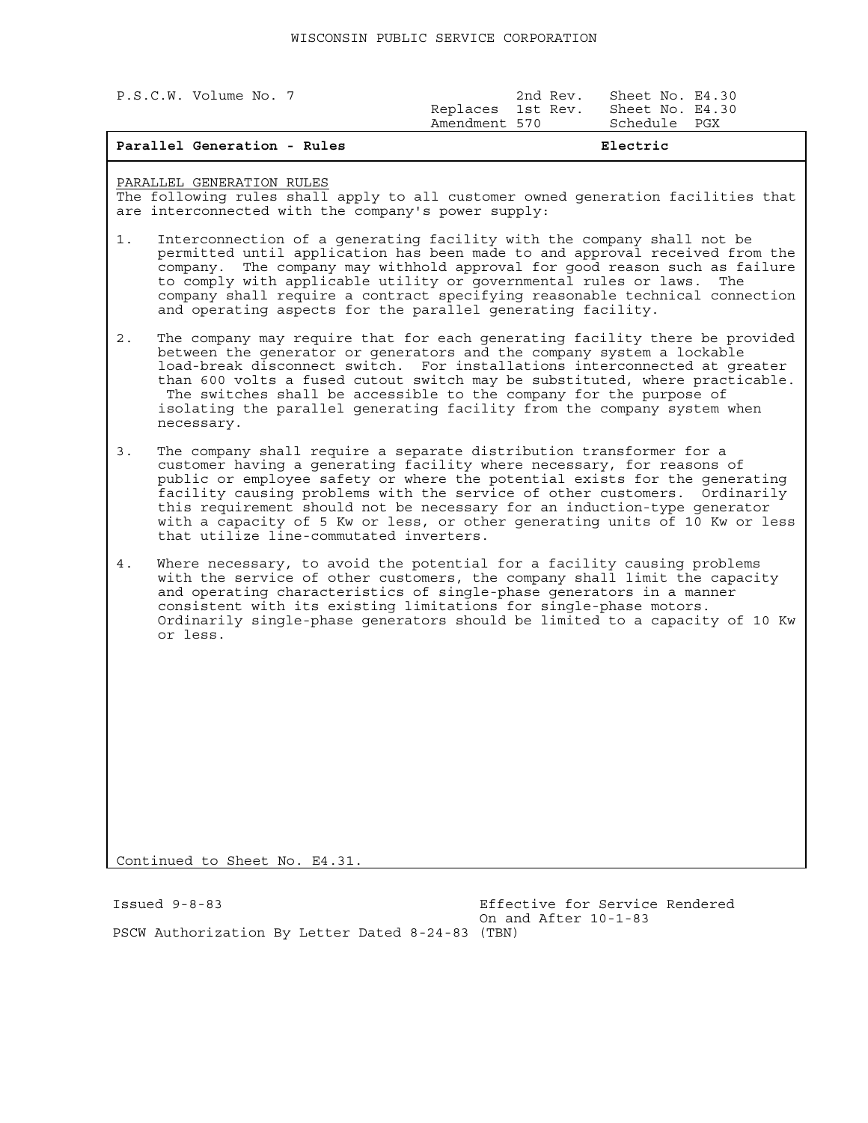| P.S.C.W. Volume No. 7 |                                    | 2nd Rev. | Sheet No. E4.30                 |  |
|-----------------------|------------------------------------|----------|---------------------------------|--|
|                       | Replaces 1st Rev.<br>Amendment 570 |          | Sheet No. E4.30<br>Schedule PGX |  |
|                       |                                    |          |                                 |  |
|                       |                                    |          |                                 |  |

## **Parallel Generation - Rules and Service Electric Electric**

## PARALLEL GENERATION RULES

The following rules shall apply to all customer owned generation facilities that are interconnected with the company's power supply:

- 1. Interconnection of a generating facility with the company shall not be permitted until application has been made to and approval received from the company. The company may withhold approval for good reason such as failure to comply with applicable utility or governmental rules or laws. The company shall require a contract specifying reasonable technical connection and operating aspects for the parallel generating facility.
- 2. The company may require that for each generating facility there be provided between the generator or generators and the company system a lockable load-break disconnect switch. For installations interconnected at greater than 600 volts a fused cutout switch may be substituted, where practicable. The switches shall be accessible to the company for the purpose of isolating the parallel generating facility from the company system when necessary.
- 3. The company shall require a separate distribution transformer for a customer having a generating facility where necessary, for reasons of public or employee safety or where the potential exists for the generating facility causing problems with the service of other customers. Ordinarily this requirement should not be necessary for an induction-type generator with a capacity of 5 Kw or less, or other generating units of 10 Kw or less that utilize line-commutated inverters.
- 4. Where necessary, to avoid the potential for a facility causing problems with the service of other customers, the company shall limit the capacity and operating characteristics of single-phase generators in a manner consistent with its existing limitations for single-phase motors. Ordinarily single-phase generators should be limited to a capacity of 10 Kw or less.

Continued to Sheet No. E4.31.

Issued 9-8-83 Effective for Service Rendered On and After 10-1-83 PSCW Authorization By Letter Dated 8-24-83 (TBN)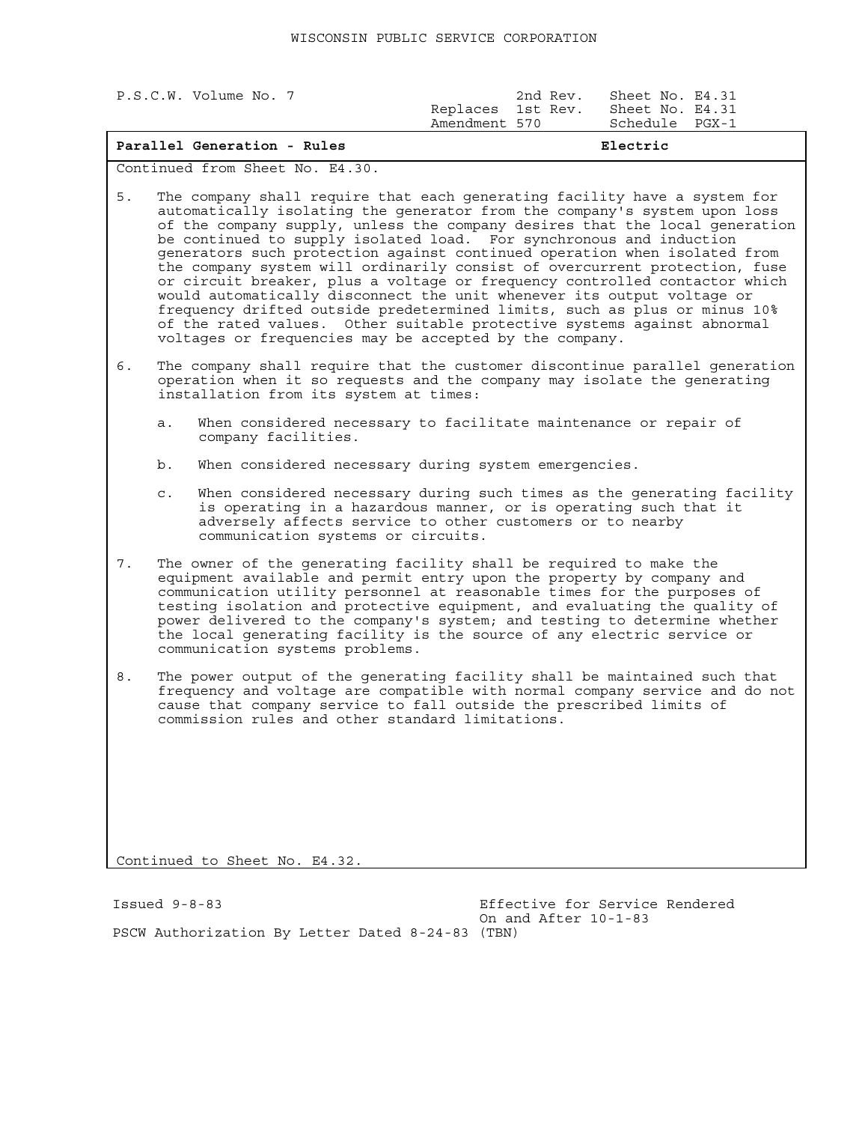| P.S.C.W. Volume No. 7 |  |                                    | 2nd Rev. | Sheet No. E4.31 |                 |
|-----------------------|--|------------------------------------|----------|-----------------|-----------------|
|                       |  | Replaces 1st Rev.<br>Amendment 570 |          | Schedule PGX-1  | Sheet No. E4.31 |
|                       |  |                                    |          |                 |                 |

| Parallel Generation - Rules | Electric |
|-----------------------------|----------|
|-----------------------------|----------|

Continued from Sheet No. E4.30.

5. The company shall require that each generating facility have a system for automatically isolating the generator from the company's system upon loss of the company supply, unless the company desires that the local generation be continued to supply isolated load. For synchronous and induction generators such protection against continued operation when isolated from the company system will ordinarily consist of overcurrent protection, fuse or circuit breaker, plus a voltage or frequency controlled contactor which would automatically disconnect the unit whenever its output voltage or frequency drifted outside predetermined limits, such as plus or minus 10% of the rated values. Other suitable protective systems against abnormal voltages or frequencies may be accepted by the company.

- 6. The company shall require that the customer discontinue parallel generation operation when it so requests and the company may isolate the generating installation from its system at times:
	- a. When considered necessary to facilitate maintenance or repair of company facilities.
	- b. When considered necessary during system emergencies.
	- c. When considered necessary during such times as the generating facility is operating in a hazardous manner, or is operating such that it adversely affects service to other customers or to nearby communication systems or circuits.
- 7. The owner of the generating facility shall be required to make the equipment available and permit entry upon the property by company and communication utility personnel at reasonable times for the purposes of testing isolation and protective equipment, and evaluating the quality of power delivered to the company's system; and testing to determine whether the local generating facility is the source of any electric service or communication systems problems.
- 8. The power output of the generating facility shall be maintained such that frequency and voltage are compatible with normal company service and do not cause that company service to fall outside the prescribed limits of commission rules and other standard limitations.

Continued to Sheet No. E4.32.

Issued 9-8-83 Effective for Service Rendered On and After 10-1-83 PSCW Authorization By Letter Dated 8-24-83 (TBN)